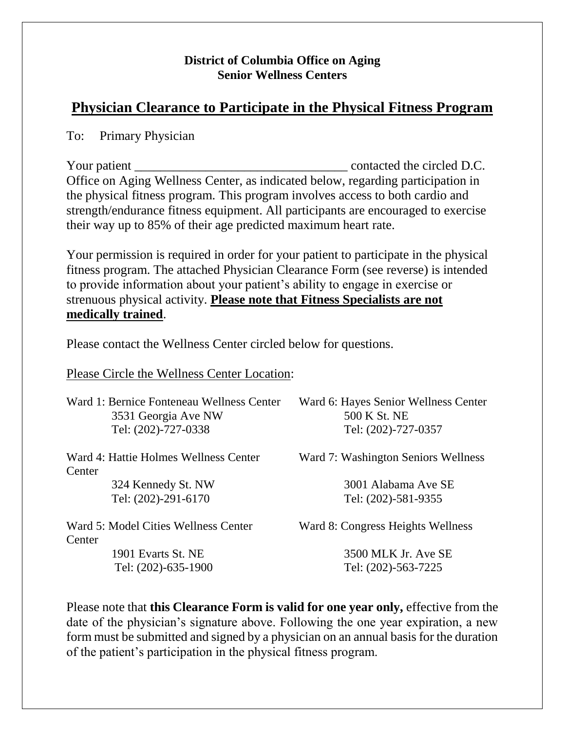## **District of Columbia Office on Aging Senior Wellness Centers**

## **Physician Clearance to Participate in the Physical Fitness Program**

To: Primary Physician

Your patient \_\_\_\_\_\_\_\_\_\_\_\_\_\_\_\_\_\_\_\_\_\_\_\_\_\_\_\_\_\_\_\_\_ contacted the circled D.C. Office on Aging Wellness Center, as indicated below, regarding participation in the physical fitness program. This program involves access to both cardio and strength/endurance fitness equipment. All participants are encouraged to exercise their way up to 85% of their age predicted maximum heart rate.

Your permission is required in order for your patient to participate in the physical fitness program. The attached Physician Clearance Form (see reverse) is intended to provide information about your patient's ability to engage in exercise or strenuous physical activity. **Please note that Fitness Specialists are not medically trained**.

Please contact the Wellness Center circled below for questions.

Please Circle the Wellness Center Location:

| Ward 1: Bernice Fonteneau Wellness Center<br>3531 Georgia Ave NW<br>Tel: (202)-727-0338 | Ward 6: Hayes Senior Wellness Center<br>500 K St. NE<br>Tel: (202)-727-0357 |
|-----------------------------------------------------------------------------------------|-----------------------------------------------------------------------------|
| Ward 4: Hattie Holmes Wellness Center<br>Center                                         | Ward 7: Washington Seniors Wellness                                         |
| 324 Kennedy St. NW<br>Tel: (202)-291-6170                                               | 3001 Alabama Ave SE<br>Tel: (202)-581-9355                                  |
| Ward 5: Model Cities Wellness Center<br>Center                                          | Ward 8: Congress Heights Wellness                                           |
| 1901 Evarts St. NE                                                                      | 3500 MLK Jr. Ave SE                                                         |
| Tel: (202)-635-1900                                                                     | Tel: (202)-563-7225                                                         |

Please note that **this Clearance Form is valid for one year only,** effective from the date of the physician's signature above. Following the one year expiration, a new form must be submitted and signed by a physician on an annual basis for the duration of the patient's participation in the physical fitness program.